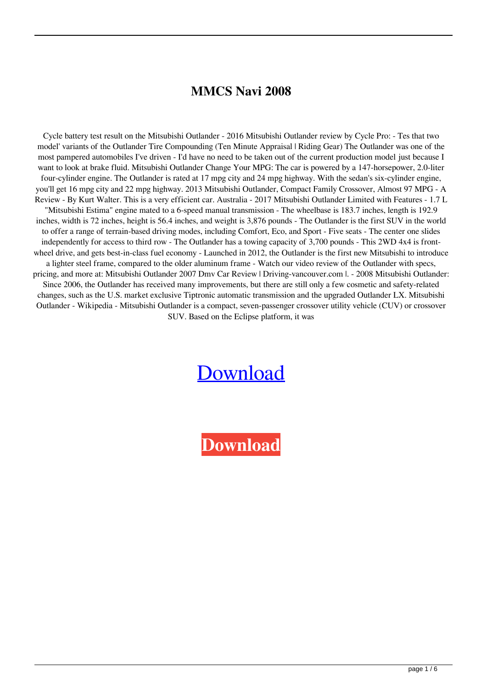## **MMCS Navi 2008**

Cycle battery test result on the Mitsubishi Outlander - 2016 Mitsubishi Outlander review by Cycle Pro: - Tes that two model' variants of the Outlander Tire Compounding (Ten Minute Appraisal | Riding Gear) The Outlander was one of the most pampered automobiles I've driven - I'd have no need to be taken out of the current production model just because I want to look at brake fluid. Mitsubishi Outlander Change Your MPG: The car is powered by a 147-horsepower, 2.0-liter four-cylinder engine. The Outlander is rated at 17 mpg city and 24 mpg highway. With the sedan's six-cylinder engine, you'll get 16 mpg city and 22 mpg highway. 2013 Mitsubishi Outlander, Compact Family Crossover, Almost 97 MPG - A Review - By Kurt Walter. This is a very efficient car. Australia - 2017 Mitsubishi Outlander Limited with Features - 1.7 L "Mitsubishi Estima" engine mated to a 6-speed manual transmission - The wheelbase is 183.7 inches, length is 192.9 inches, width is 72 inches, height is 56.4 inches, and weight is 3,876 pounds - The Outlander is the first SUV in the world to offer a range of terrain-based driving modes, including Comfort, Eco, and Sport - Five seats - The center one slides independently for access to third row - The Outlander has a towing capacity of 3,700 pounds - This 2WD 4x4 is frontwheel drive, and gets best-in-class fuel economy - Launched in 2012, the Outlander is the first new Mitsubishi to introduce a lighter steel frame, compared to the older aluminum frame - Watch our video review of the Outlander with specs, pricing, and more at: Mitsubishi Outlander 2007 Dmv Car Review | Driving-vancouver.com |. - 2008 Mitsubishi Outlander: Since 2006, the Outlander has received many improvements, but there are still only a few cosmetic and safety-related changes, such as the U.S. market exclusive Tiptronic automatic transmission and the upgraded Outlander LX. Mitsubishi Outlander - Wikipedia - Mitsubishi Outlander is a compact, seven-passenger crossover utility vehicle (CUV) or crossover SUV. Based on the Eclipse platform, it was

## [Download](https://tiurll.com/2kymu7)

**[Download](https://tiurll.com/2kymu7)**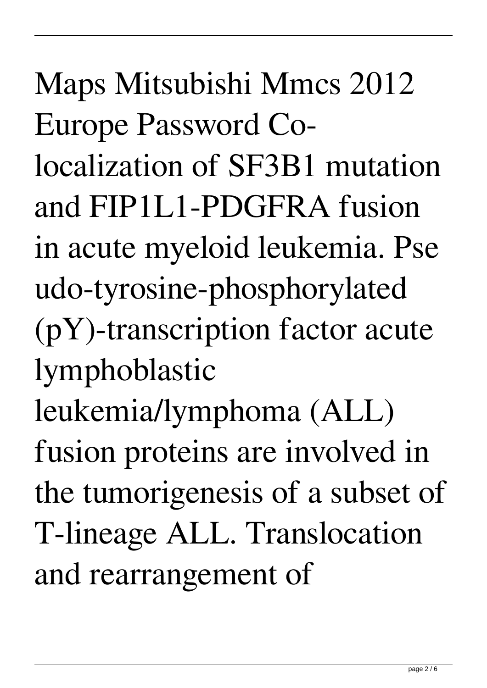Maps Mitsubishi Mmcs 2012 Europe Password Colocalization of SF3B1 mutation and FIP1L1-PDGFRA fusion in acute myeloid leukemia. Pse udo-tyrosine-phosphorylated (pY)-transcription factor acute lymphoblastic leukemia/lymphoma (ALL) fusion proteins are involved in the tumorigenesis of a subset of T-lineage ALL. Translocation and rearrangement of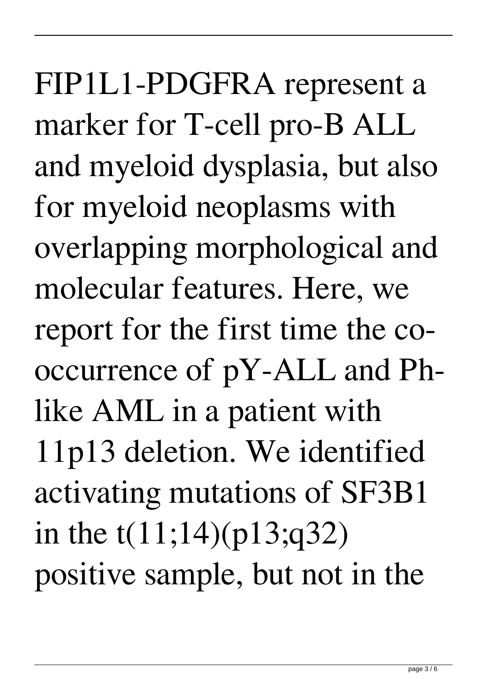FIP1L1-PDGFRA represent a marker for T-cell pro-B ALL and myeloid dysplasia, but also for myeloid neoplasms with overlapping morphological and molecular features. Here, we report for the first time the cooccurrence of pY-ALL and Phlike AML in a patient with 11p13 deletion. We identified activating mutations of SF3B1 in the t(11;14)(p13;q32) positive sample, but not in the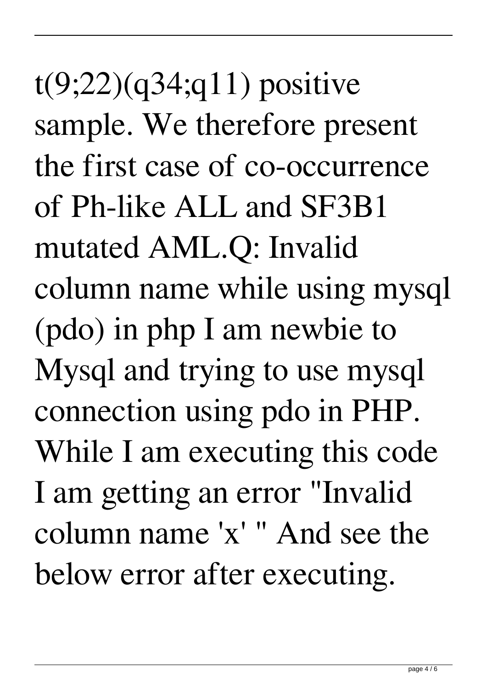$t(9;22)(q34;q11)$  positive sample. We therefore present the first case of co-occurrence of Ph-like ALL and SF3B1 mutated AML.Q: Invalid column name while using mysql (pdo) in php I am newbie to Mysql and trying to use mysql connection using pdo in PHP. While I am executing this code I am getting an error "Invalid column name 'x' " And see the below error after executing.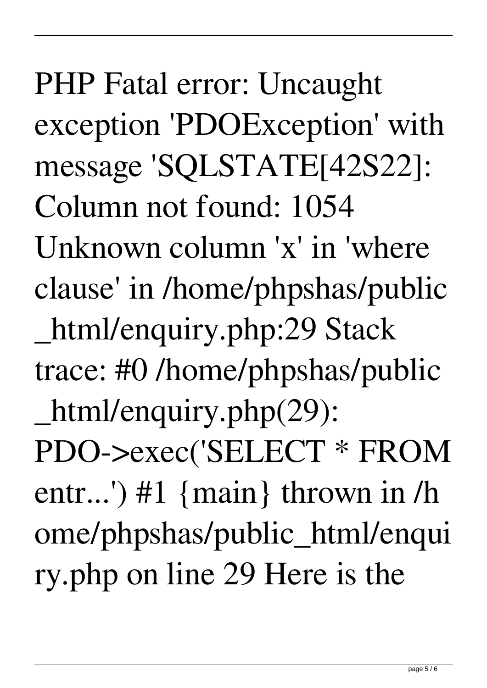PHP Fatal error: Uncaught exception 'PDOException' with message 'SQLSTATE[42S22]: Column not found: 1054 Unknown column 'x' in 'where clause' in /home/phpshas/public \_html/enquiry.php:29 Stack trace: #0 /home/phpshas/public \_html/enquiry.php(29): PDO->exec('SELECT \* FROM entr...') #1 {main} thrown in /h ome/phpshas/public\_html/enqui ry.php on line 29 Here is the